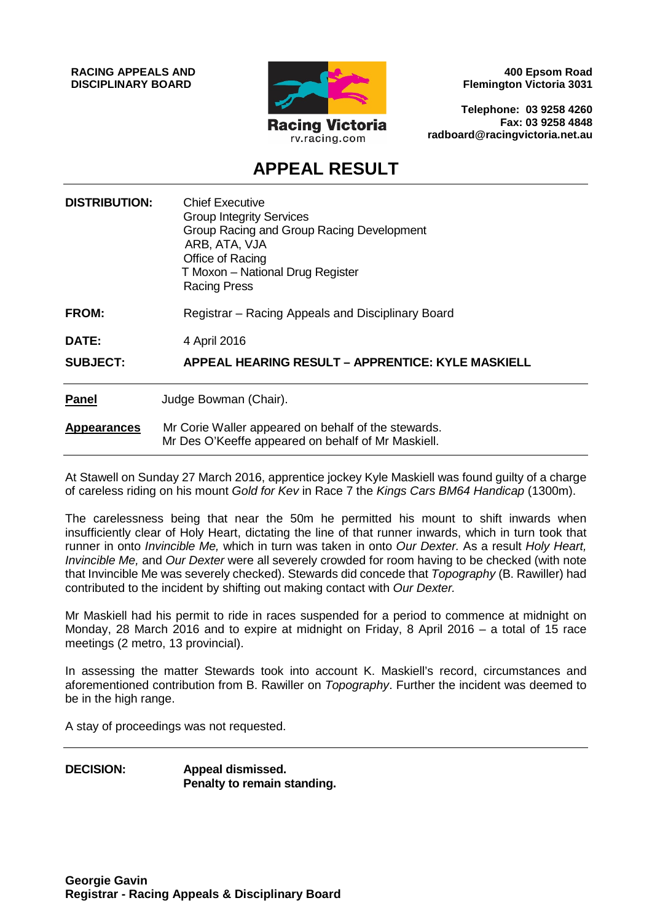**RACING APPEALS AND DISCIPLINARY BOARD**



**400 Epsom Road Flemington Victoria 3031**

**Telephone: 03 9258 4260 Fax: 03 9258 4848 radboard@racingvictoria.net.au**

# **APPEAL RESULT**

| <b>DISTRIBUTION:</b> | <b>Chief Executive</b><br><b>Group Integrity Services</b><br>Group Racing and Group Racing Development<br>ARB, ATA, VJA<br>Office of Racing<br>T Moxon - National Drug Register<br><b>Racing Press</b> |
|----------------------|--------------------------------------------------------------------------------------------------------------------------------------------------------------------------------------------------------|
| <b>FROM:</b>         | Registrar – Racing Appeals and Disciplinary Board                                                                                                                                                      |
| <b>DATE:</b>         | 4 April 2016                                                                                                                                                                                           |
| <b>SUBJECT:</b>      | <b>APPEAL HEARING RESULT - APPRENTICE: KYLE MASKIELL</b>                                                                                                                                               |
| <b>Panel</b>         | Judge Bowman (Chair).                                                                                                                                                                                  |
| <b>Appearances</b>   | Mr Corie Waller appeared on behalf of the stewards.<br>Mr Des O'Keeffe appeared on behalf of Mr Maskiell.                                                                                              |

At Stawell on Sunday 27 March 2016, apprentice jockey Kyle Maskiell was found guilty of a charge of careless riding on his mount *Gold for Kev* in Race 7 the *Kings Cars BM64 Handicap* (1300m).

The carelessness being that near the 50m he permitted his mount to shift inwards when insufficiently clear of Holy Heart, dictating the line of that runner inwards, which in turn took that runner in onto *Invincible Me,* which in turn was taken in onto *Our Dexter.* As a result *Holy Heart, Invincible Me,* and *Our Dexter* were all severely crowded for room having to be checked (with note that Invincible Me was severely checked). Stewards did concede that *Topography* (B. Rawiller) had contributed to the incident by shifting out making contact with *Our Dexter.*

Mr Maskiell had his permit to ride in races suspended for a period to commence at midnight on Monday, 28 March 2016 and to expire at midnight on Friday, 8 April 2016 – a total of 15 race meetings (2 metro, 13 provincial).

In assessing the matter Stewards took into account K. Maskiell's record, circumstances and aforementioned contribution from B. Rawiller on *Topography*. Further the incident was deemed to be in the high range.

A stay of proceedings was not requested.

**DECISION: Appeal dismissed. Penalty to remain standing.**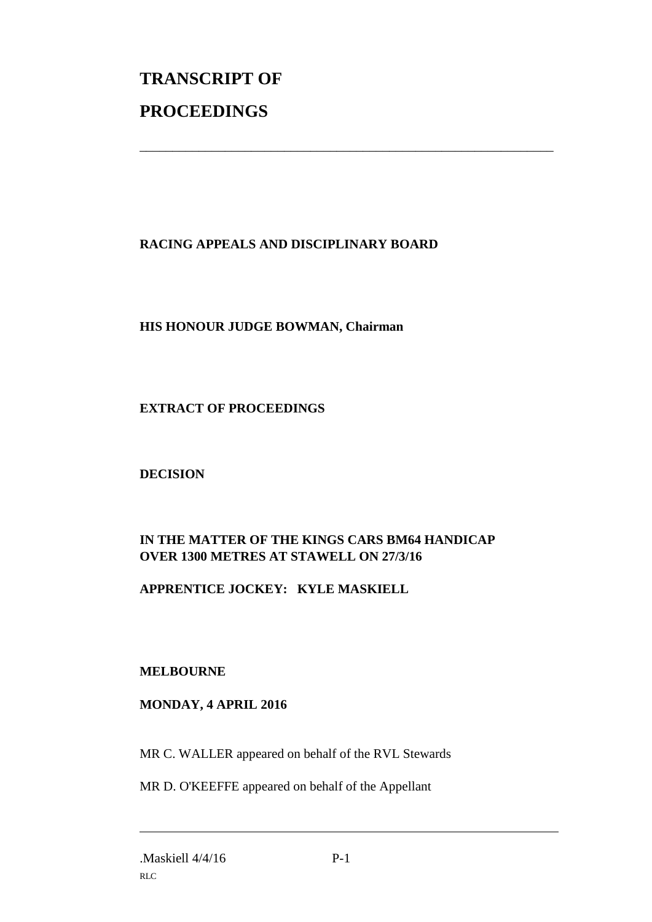# **TRANSCRIPT OF PROCEEDINGS**

## **RACING APPEALS AND DISCIPLINARY BOARD**

\_\_\_\_\_\_\_\_\_\_\_\_\_\_\_\_\_\_\_\_\_\_\_\_\_\_\_\_\_\_\_\_\_\_\_\_\_\_\_\_\_\_\_\_\_\_\_\_\_\_\_\_\_\_\_\_\_\_\_\_\_\_\_

#### **HIS HONOUR JUDGE BOWMAN, Chairman**

#### **EXTRACT OF PROCEEDINGS**

#### **DECISION**

### **IN THE MATTER OF THE KINGS CARS BM64 HANDICAP OVER 1300 METRES AT STAWELL ON 27/3/16**

#### **APPRENTICE JOCKEY: KYLE MASKIELL**

#### **MELBOURNE**

#### **MONDAY, 4 APRIL 2016**

MR C. WALLER appeared on behalf of the RVL Stewards

MR D. O'KEEFFE appeared on behalf of the Appellant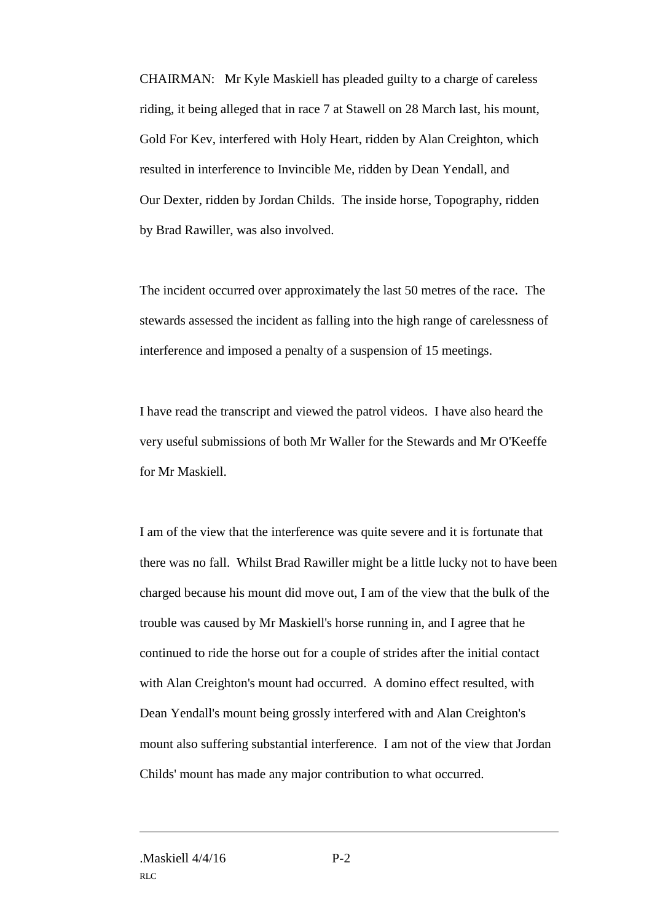CHAIRMAN: Mr Kyle Maskiell has pleaded guilty to a charge of careless riding, it being alleged that in race 7 at Stawell on 28 March last, his mount, Gold For Kev, interfered with Holy Heart, ridden by Alan Creighton, which resulted in interference to Invincible Me, ridden by Dean Yendall, and Our Dexter, ridden by Jordan Childs. The inside horse, Topography, ridden by Brad Rawiller, was also involved.

The incident occurred over approximately the last 50 metres of the race. The stewards assessed the incident as falling into the high range of carelessness of interference and imposed a penalty of a suspension of 15 meetings.

I have read the transcript and viewed the patrol videos. I have also heard the very useful submissions of both Mr Waller for the Stewards and Mr O'Keeffe for Mr Maskiell.

I am of the view that the interference was quite severe and it is fortunate that there was no fall. Whilst Brad Rawiller might be a little lucky not to have been charged because his mount did move out, I am of the view that the bulk of the trouble was caused by Mr Maskiell's horse running in, and I agree that he continued to ride the horse out for a couple of strides after the initial contact with Alan Creighton's mount had occurred. A domino effect resulted, with Dean Yendall's mount being grossly interfered with and Alan Creighton's mount also suffering substantial interference. I am not of the view that Jordan Childs' mount has made any major contribution to what occurred.